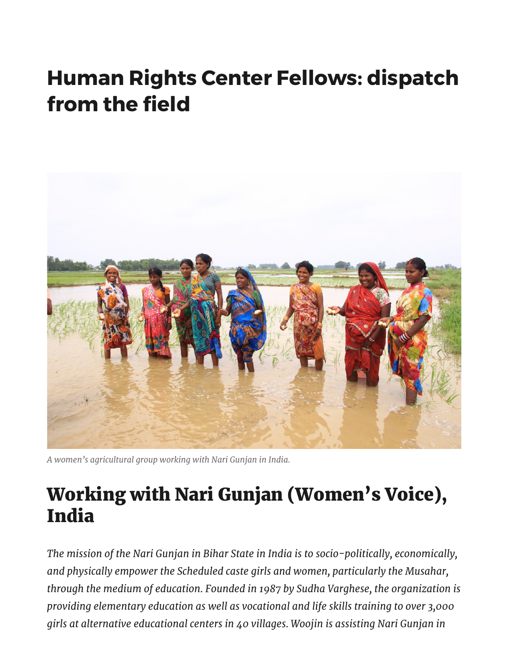## Human Rights Center Fellows: dispatch from the field



A women's agricultural group working with Nari Gunjan in India.

## Working with Nari Gunjan (Women's Voice), India

The mission of the Nari Gunjan in Bihar State in India is to socio-politically, economically, and physically empower the Scheduled caste girls and women, particularly the Musahar, through the medium of education. Founded in 1987 by Sudha Varghese, the organization is providing elementary education as well as vocational and life skills training to over 3,000 girls at alternative educational centers in 40 villages. Woojin is assisting Nari Gunjan in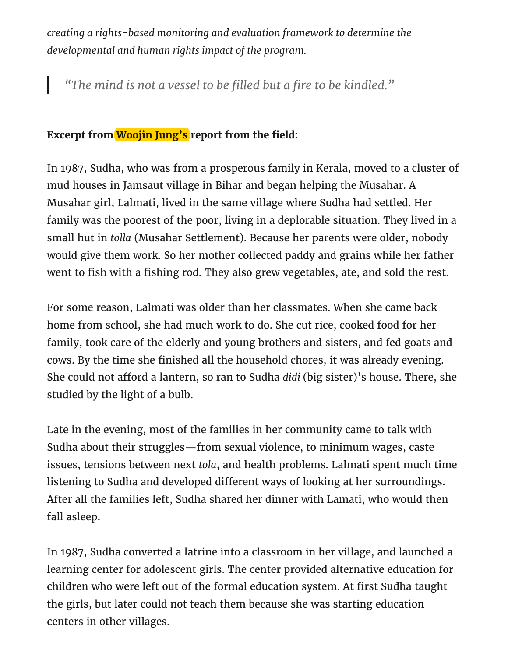creating a rights-based monitoring and evaluation framework to determine the developmental and human rights impact of the program.

"The mind is not a vessel to be filled but a fire to be kindled."

## Excerpt from Woojin Jung's report from the field:

In 1987, Sudha, who was from a prosperous family in Kerala, moved to a cluster of mud houses in Jamsaut village in Bihar and began helping the Musahar. A Musahar girl, Lalmati, lived in the same village where Sudha had settled. Her family was the poorest of the poor, living in a deplorable situation. They lived in a small hut in tolla (Musahar Settlement). Because her parents were older, nobody would give them work. So her mother collected paddy and grains while her father went to fish with a fishing rod. They also grew vegetables, ate, and sold the rest.

For some reason, Lalmati was older than her classmates. When she came back home from school, she had much work to do. She cut rice, cooked food for her family, took care of the elderly and young brothers and sisters, and fed goats and cows. By the time she finished all the household chores, it was already evening. She could not afford a lantern, so ran to Sudha didi (big sister)'s house. There, she studied by the light of a bulb.

Late in the evening, most of the families in her community came to talk with Sudha about their struggles—from sexual violence, to minimum wages, caste issues, tensions between next tola, and health problems. Lalmati spent much time listening to Sudha and developed different ways of looking at her surroundings. After all the families left, Sudha shared her dinner with Lamati, who would then fall asleep.

In 1987, Sudha converted a latrine into a classroom in her village, and launched a learning center for adolescent girls. The center provided alternative education for children who were left out of the formal education system. At first Sudha taught the girls, but later could not teach them because she was starting education centers in other villages.